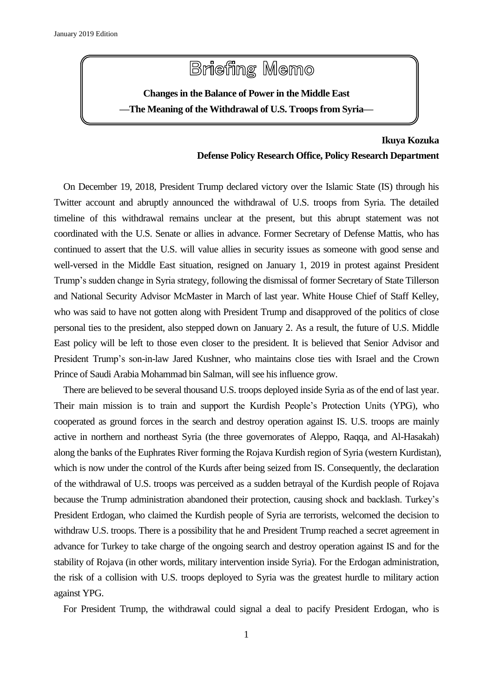

## **Ikuya Kozuka Defense Policy Research Office, Policy Research Department**

On December 19, 2018, President Trump declared victory over the Islamic State (IS) through his Twitter account and abruptly announced the withdrawal of U.S. troops from Syria. The detailed timeline of this withdrawal remains unclear at the present, but this abrupt statement was not coordinated with the U.S. Senate or allies in advance. Former Secretary of Defense Mattis, who has continued to assert that the U.S. will value allies in security issues as someone with good sense and well-versed in the Middle East situation, resigned on January 1, 2019 in protest against President Trump's sudden change in Syria strategy, following the dismissal of former Secretary of State Tillerson and National Security Advisor McMaster in March of last year. White House Chief of Staff Kelley, who was said to have not gotten along with President Trump and disapproved of the politics of close personal ties to the president, also stepped down on January 2. As a result, the future of U.S. Middle East policy will be left to those even closer to the president. It is believed that Senior Advisor and President Trump's son-in-law Jared Kushner, who maintains close ties with Israel and the Crown Prince of Saudi Arabia Mohammad bin Salman, will see his influence grow.

There are believed to be several thousand U.S. troops deployed inside Syria as of the end of last year. Their main mission is to train and support the Kurdish People's Protection Units (YPG), who cooperated as ground forces in the search and destroy operation against IS. U.S. troops are mainly active in northern and northeast Syria (the three governorates of Aleppo, Raqqa, and Al-Hasakah) along the banks of the Euphrates River forming the Rojava Kurdish region of Syria (western Kurdistan), which is now under the control of the Kurds after being seized from IS. Consequently, the declaration of the withdrawal of U.S. troops was perceived as a sudden betrayal of the Kurdish people of Rojava because the Trump administration abandoned their protection, causing shock and backlash. Turkey's President Erdogan, who claimed the Kurdish people of Syria are terrorists, welcomed the decision to withdraw U.S. troops. There is a possibility that he and President Trump reached a secret agreement in advance for Turkey to take charge of the ongoing search and destroy operation against IS and for the stability of Rojava (in other words, military intervention inside Syria). For the Erdogan administration, the risk of a collision with U.S. troops deployed to Syria was the greatest hurdle to military action against YPG.

For President Trump, the withdrawal could signal a deal to pacify President Erdogan, who is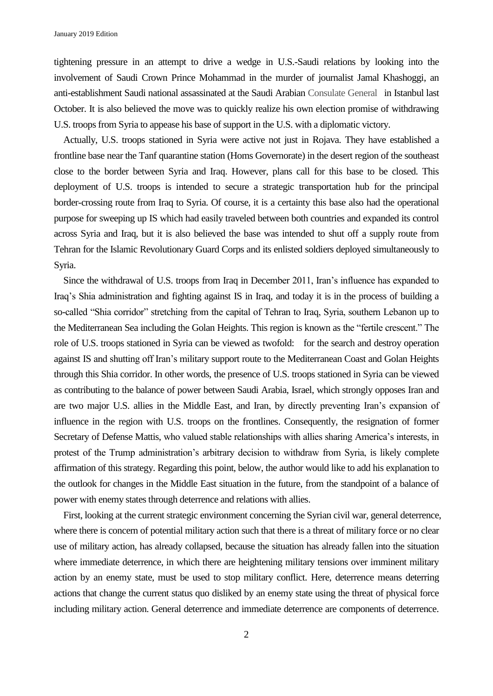tightening pressure in an attempt to drive a wedge in U.S.-Saudi relations by looking into the involvement of Saudi Crown Prince Mohammad in the murder of journalist Jamal Khashoggi, an anti-establishment Saudi national assassinated at the Saudi Arabian Consulate General in Istanbul last October. It is also believed the move was to quickly realize his own election promise of withdrawing U.S. troops from Syria to appease his base of support in the U.S. with a diplomatic victory.

Actually, U.S. troops stationed in Syria were active not just in Rojava. They have established a frontline base near the Tanf quarantine station (Homs Governorate) in the desert region of the southeast close to the border between Syria and Iraq. However, plans call for this base to be closed. This deployment of U.S. troops is intended to secure a strategic transportation hub for the principal border-crossing route from Iraq to Syria. Of course, it is a certainty this base also had the operational purpose for sweeping up IS which had easily traveled between both countries and expanded its control across Syria and Iraq, but it is also believed the base was intended to shut off a supply route from Tehran for the Islamic Revolutionary Guard Corps and its enlisted soldiers deployed simultaneously to Syria.

Since the withdrawal of U.S. troops from Iraq in December 2011, Iran's influence has expanded to Iraq's Shia administration and fighting against IS in Iraq, and today it is in the process of building a so-called "Shia corridor" stretching from the capital of Tehran to Iraq, Syria, southern Lebanon up to the Mediterranean Sea including the Golan Heights. This region is known as the "fertile crescent." The role of U.S. troops stationed in Syria can be viewed as twofold: for the search and destroy operation against IS and shutting off Iran's military support route to the Mediterranean Coast and Golan Heights through this Shia corridor. In other words, the presence of U.S. troops stationed in Syria can be viewed as contributing to the balance of power between Saudi Arabia, Israel, which strongly opposes Iran and are two major U.S. allies in the Middle East, and Iran, by directly preventing Iran's expansion of influence in the region with U.S. troops on the frontlines. Consequently, the resignation of former Secretary of Defense Mattis, who valued stable relationships with allies sharing America's interests, in protest of the Trump administration's arbitrary decision to withdraw from Syria, is likely complete affirmation of this strategy. Regarding this point, below, the author would like to add his explanation to the outlook for changes in the Middle East situation in the future, from the standpoint of a balance of power with enemy states through deterrence and relations with allies.

First, looking at the current strategic environment concerning the Syrian civil war, general deterrence, where there is concern of potential military action such that there is a threat of military force or no clear use of military action, has already collapsed, because the situation has already fallen into the situation where immediate deterrence, in which there are heightening military tensions over imminent military action by an enemy state, must be used to stop military conflict. Here, deterrence means deterring actions that change the current status quo disliked by an enemy state using the threat of physical force including military action. General deterrence and immediate deterrence are components of deterrence.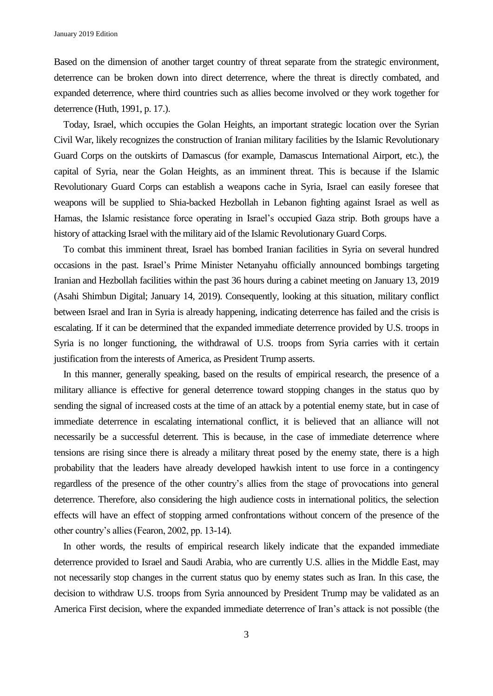Based on the dimension of another target country of threat separate from the strategic environment, deterrence can be broken down into direct deterrence, where the threat is directly combated, and expanded deterrence, where third countries such as allies become involved or they work together for deterrence (Huth, 1991, p. 17.).

Today, Israel, which occupies the Golan Heights, an important strategic location over the Syrian Civil War, likely recognizes the construction of Iranian military facilities by the Islamic Revolutionary Guard Corps on the outskirts of Damascus (for example, Damascus International Airport, etc.), the capital of Syria, near the Golan Heights, as an imminent threat. This is because if the Islamic Revolutionary Guard Corps can establish a weapons cache in Syria, Israel can easily foresee that weapons will be supplied to Shia-backed Hezbollah in Lebanon fighting against Israel as well as Hamas, the Islamic resistance force operating in Israel's occupied Gaza strip. Both groups have a history of attacking Israel with the military aid of the Islamic Revolutionary Guard Corps.

To combat this imminent threat, Israel has bombed Iranian facilities in Syria on several hundred occasions in the past. Israel's Prime Minister Netanyahu officially announced bombings targeting Iranian and Hezbollah facilities within the past 36 hours during a cabinet meeting on January 13, 2019 (Asahi Shimbun Digital; January 14, 2019). Consequently, looking at this situation, military conflict between Israel and Iran in Syria is already happening, indicating deterrence has failed and the crisis is escalating. If it can be determined that the expanded immediate deterrence provided by U.S. troops in Syria is no longer functioning, the withdrawal of U.S. troops from Syria carries with it certain justification from the interests of America, as President Trump asserts.

In this manner, generally speaking, based on the results of empirical research, the presence of a military alliance is effective for general deterrence toward stopping changes in the status quo by sending the signal of increased costs at the time of an attack by a potential enemy state, but in case of immediate deterrence in escalating international conflict, it is believed that an alliance will not necessarily be a successful deterrent. This is because, in the case of immediate deterrence where tensions are rising since there is already a military threat posed by the enemy state, there is a high probability that the leaders have already developed hawkish intent to use force in a contingency regardless of the presence of the other country's allies from the stage of provocations into general deterrence. Therefore, also considering the high audience costs in international politics, the selection effects will have an effect of stopping armed confrontations without concern of the presence of the other country's allies (Fearon, 2002, pp. 13-14).

In other words, the results of empirical research likely indicate that the expanded immediate deterrence provided to Israel and Saudi Arabia, who are currently U.S. allies in the Middle East, may not necessarily stop changes in the current status quo by enemy states such as Iran. In this case, the decision to withdraw U.S. troops from Syria announced by President Trump may be validated as an America First decision, where the expanded immediate deterrence of Iran's attack is not possible (the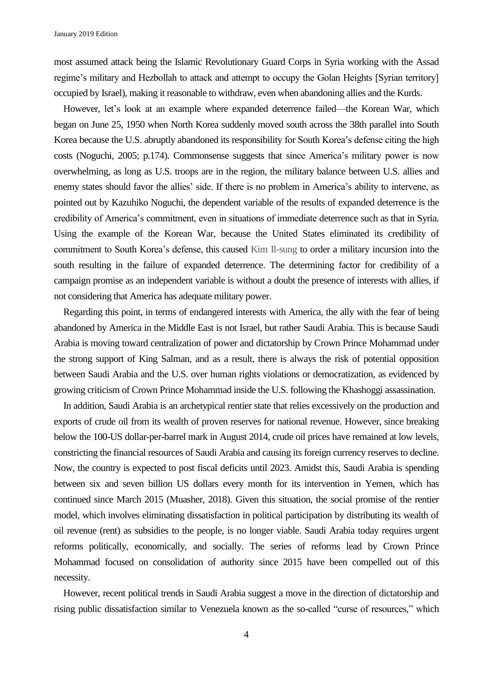January 2019 Edition

most assumed attack being the Islamic Revolutionary Guard Corps in Syria working with the Assad regime's military and Hezbollah to attack and attempt to occupy the Golan Heights [Syrian territory] occupied by Israel), making it reasonable to withdraw, even when abandoning allies and the Kurds.

However, let's look at an example where expanded deterrence failed—the Korean War, which began on June 25, 1950 when North Korea suddenly moved south across the 38th parallel into South Korea because the U.S. abruptly abandoned its responsibility for South Korea's defense citing the high costs (Noguchi, 2005; p.174). Commonsense suggests that since America's military power is now overwhelming, as long as U.S. troops are in the region, the military balance between U.S. allies and enemy states should favor the allies' side. If there is no problem in America's ability to intervene, as pointed out by Kazuhiko Noguchi, the dependent variable of the results of expanded deterrence is the credibility of America's commitment, even in situations of immediate deterrence such as that in Syria. Using the example of the Korean War, because the United States eliminated its credibility of commitment to South Korea's defense, this caused Kim Il-sung to order a military incursion into the south resulting in the failure of expanded deterrence. The determining factor for credibility of a campaign promise as an independent variable is without a doubt the presence of interests with allies, if not considering that America has adequate military power.

Regarding this point, in terms of endangered interests with America, the ally with the fear of being abandoned by America in the Middle East is not Israel, but rather Saudi Arabia. This is because Saudi Arabia is moving toward centralization of power and dictatorship by Crown Prince Mohammad under the strong support of King Salman, and as a result, there is always the risk of potential opposition between Saudi Arabia and the U.S. over human rights violations or democratization, as evidenced by growing criticism of Crown Prince Mohammad inside the U.S. following the Khashoggi assassination.

In addition, Saudi Arabia is an archetypical rentier state that relies excessively on the production and exports of crude oil from its wealth of proven reserves for national revenue. However, since breaking below the 100-US dollar-per-barrel mark in August 2014, crude oil prices have remained at low levels, constricting the financial resources of Saudi Arabia and causing its foreign currency reserves to decline. Now, the country is expected to post fiscal deficits until 2023. Amidst this, Saudi Arabia is spending between six and seven billion US dollars every month for its intervention in Yemen, which has continued since March 2015 (Muasher, 2018). Given this situation, the social promise of the rentier model, which involves eliminating dissatisfaction in political participation by distributing its wealth of oil revenue (rent) as subsidies to the people, is no longer viable. Saudi Arabia today requires urgent reforms politically, economically, and socially. The series of reforms lead by Crown Prince Mohammad focused on consolidation of authority since 2015 have been compelled out of this necessity.

However, recent political trends in Saudi Arabia suggest a move in the direction of dictatorship and rising public dissatisfaction similar to Venezuela known as the so-called "curse of resources," which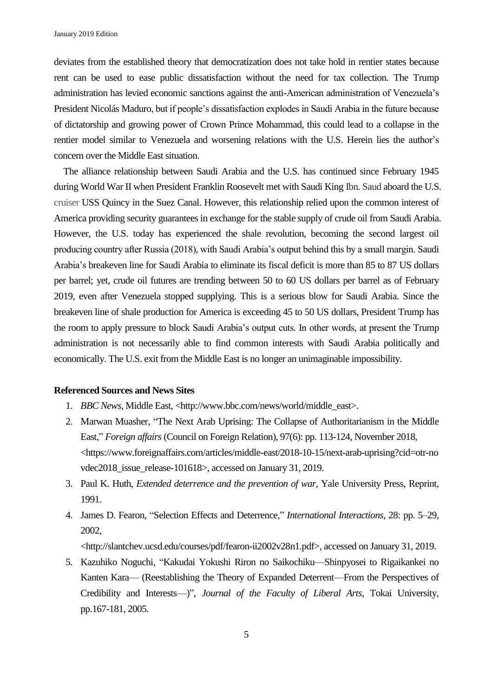deviates from the established theory that democratization does not take hold in rentier states because rent can be used to ease public dissatisfaction without the need for tax collection. The Trump administration has levied economic sanctions against the anti-American administration of Venezuela's President Nicolás Maduro, but if people's dissatisfaction explodes in Saudi Arabia in the future because of dictatorship and growing power of Crown Prince Mohammad, this could lead to a collapse in the rentier model similar to Venezuela and worsening relations with the U.S. Herein lies the author's concern over the Middle East situation.

The alliance relationship between Saudi Arabia and the U.S. has continued since February 1945 during World War II when President Franklin Roosevelt met with Saudi King Ibn. Saud aboard the U.S. cruiser USS Quincy in the Suez Canal. However, this relationship relied upon the common interest of America providing security guarantees in exchange for the stable supply of crude oil from Saudi Arabia. However, the U.S. today has experienced the shale revolution, becoming the second largest oil producing country after Russia (2018), with Saudi Arabia's output behind this by a small margin. Saudi Arabia's breakeven line for Saudi Arabia to eliminate its fiscal deficit is more than 85 to 87 US dollars per barrel; yet, crude oil futures are trending between 50 to 60 US dollars per barrel as of February 2019, even after Venezuela stopped supplying. This is a serious blow for Saudi Arabia. Since the breakeven line of shale production for America is exceeding 45 to 50 US dollars, President Trump has the room to apply pressure to block Saudi Arabia's output cuts. In other words, at present the Trump administration is not necessarily able to find common interests with Saudi Arabia politically and economically. The U.S. exit from the Middle East is no longer an unimaginable impossibility.

## **Referenced Sources and News Sites**

- 1. *BBC News*, Middle East, [<http://www.bbc.com/news/world/middle\\_east>](http://www.bbc.com/news/world/middle_east).
- 2. Marwan Muasher, "The Next Arab Uprising: The Collapse of Authoritarianism in the Middle East," *Foreign affairs* (Council on Foreign Relation), 97(6): pp. 113-124, November 2018, <https://www.foreignaffairs.com/articles/middle-east/2018-10-15/next-arab-uprising?cid=otr-no vdec2018\_issue\_release-101618>, accessed on January 31, 2019.
- 3. Paul K. Huth, *Extended deterrence and the prevention of war*, Yale University Press, Reprint, 1991.
- 4. James D. Fearon, "Selection Effects and Deterrence," *International Interactions*, 28: pp. 5–29, 2002,

<http://slantchev.ucsd.edu/courses/pdf/fearon-ii2002v28n1.pdf>, accessed on January 31, 2019.

5. Kazuhiko Noguchi, "Kakudai Yokushi Riron no Saikochiku—Shinpyosei to Rigaikankei no Kanten Kara— (Reestablishing the Theory of Expanded Deterrent—From the Perspectives of Credibility and Interests—)", *Journal of the Faculty of Liberal Arts*, Tokai University, pp.167-181, 2005.